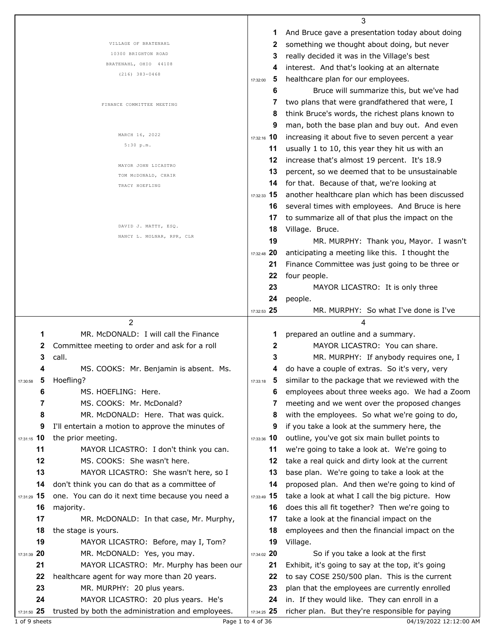|                                     |                                                                                          |                   | 3                                                                                               |
|-------------------------------------|------------------------------------------------------------------------------------------|-------------------|-------------------------------------------------------------------------------------------------|
|                                     |                                                                                          | 1                 | And Bruce gave a presentation today about doing                                                 |
|                                     | VILLAGE OF BRATENAHL                                                                     | 2                 | something we thought about doing, but never                                                     |
|                                     | 10300 BRIGHTON ROAD                                                                      | 3                 | really decided it was in the Village's best                                                     |
|                                     | BRATENAHL, OHIO 44108                                                                    |                   | interest. And that's looking at an alternate                                                    |
|                                     | $(216)$ 383-0468                                                                         | 5<br>17:32:00     | healthcare plan for our employees.                                                              |
|                                     |                                                                                          | 6                 | Bruce will summarize this, but we've had                                                        |
|                                     |                                                                                          |                   | two plans that were grandfathered that were, I                                                  |
|                                     | FINANCE COMMITTEE MEETING                                                                | 8                 | think Bruce's words, the richest plans known to                                                 |
|                                     |                                                                                          | 9                 |                                                                                                 |
|                                     | MARCH 16, 2022                                                                           |                   | man, both the base plan and buy out. And even                                                   |
|                                     | 5:30 p.m.                                                                                | 17:32:16 10       | increasing it about five to seven percent a year                                                |
|                                     |                                                                                          | 11                | usually 1 to 10, this year they hit us with an                                                  |
|                                     | MAYOR JOHN LICASTRO                                                                      | 12                | increase that's almost 19 percent. It's 18.9                                                    |
|                                     | TOM MCDONALD, CHAIR                                                                      | 13                | percent, so we deemed that to be unsustainable                                                  |
|                                     | TRACY HOEFLING                                                                           | 14                | for that. Because of that, we're looking at                                                     |
|                                     |                                                                                          | $17:32:33$ 15     | another healthcare plan which has been discussed                                                |
|                                     |                                                                                          | 16.               | several times with employees. And Bruce is here                                                 |
|                                     |                                                                                          | 17                | to summarize all of that plus the impact on the                                                 |
|                                     | DAVID J. MATTY, ESQ.                                                                     | 18                | Village. Bruce.                                                                                 |
|                                     | NANCY L. MOLNAR, RPR, CLR                                                                | 19                | MR. MURPHY: Thank you, Mayor. I wasn't                                                          |
|                                     |                                                                                          | 17:32:48 20       | anticipating a meeting like this. I thought the                                                 |
|                                     |                                                                                          |                   |                                                                                                 |
|                                     |                                                                                          | 21                | Finance Committee was just going to be three or                                                 |
|                                     |                                                                                          | 22                | four people.                                                                                    |
|                                     |                                                                                          | 23                | MAYOR LICASTRO: It is only three                                                                |
|                                     |                                                                                          | 24                | people.                                                                                         |
|                                     |                                                                                          | 17:32:53 25       | MR. MURPHY: So what I've done is I've                                                           |
|                                     |                                                                                          |                   |                                                                                                 |
|                                     | 2                                                                                        |                   | 4                                                                                               |
| 1                                   | MR. McDONALD: I will call the Finance                                                    | 1                 | prepared an outline and a summary.                                                              |
| 2                                   | Committee meeting to order and ask for a roll                                            | 2                 | MAYOR LICASTRO: You can share.                                                                  |
| 3                                   | call.                                                                                    | 3                 | MR. MURPHY: If anybody requires one, I                                                          |
| 4                                   | MS. COOKS: Mr. Benjamin is absent. Ms.                                                   | 4                 | do have a couple of extras. So it's very, very                                                  |
| $\overline{\mathbf{5}}$<br>17:30:58 | Hoefling?                                                                                | 17:33:18          | similar to the package that we reviewed with the                                                |
| 6                                   | MS. HOEFLING: Here.                                                                      | 6                 |                                                                                                 |
| 7                                   |                                                                                          | 7                 | employees about three weeks ago. We had a Zoom                                                  |
|                                     | MS. COOKS: Mr. McDonald?                                                                 |                   | meeting and we went over the proposed changes                                                   |
| 8                                   | MR. McDONALD: Here. That was quick.                                                      | 8                 | with the employees. So what we're going to do,                                                  |
| 9                                   | I'll entertain a motion to approve the minutes of                                        | 9                 | if you take a look at the summery here, the                                                     |
| 17:31:15 10                         | the prior meeting.                                                                       | 17:33:36 10       | outline, you've got six main bullet points to                                                   |
| 11                                  | MAYOR LICASTRO: I don't think you can.                                                   | 11                | we're going to take a look at. We're going to                                                   |
| 12                                  | MS. COOKS: She wasn't here.                                                              | 12                | take a real quick and dirty look at the current                                                 |
| 13                                  | MAYOR LICASTRO: She wasn't here, so I                                                    | 13                | base plan. We're going to take a look at the                                                    |
| 14                                  | don't think you can do that as a committee of                                            | 14                | proposed plan. And then we're going to kind of                                                  |
| 17:31:29 15                         | one. You can do it next time because you need a                                          | 17:33:49 15       | take a look at what I call the big picture. How                                                 |
| 16                                  | majority.                                                                                | 16                | does this all fit together? Then we're going to                                                 |
| 17                                  | MR. McDONALD: In that case, Mr. Murphy,                                                  | 17                | take a look at the financial impact on the                                                      |
| 18                                  | the stage is yours.                                                                      | 18                | employees and then the financial impact on the                                                  |
| 19                                  | MAYOR LICASTRO: Before, may I, Tom?                                                      | 19                | Village.                                                                                        |
| 17:31:39 20                         | MR. McDONALD: Yes, you may.                                                              | 17:34:02 20       | So if you take a look at the first                                                              |
| 21                                  | MAYOR LICASTRO: Mr. Murphy has been our                                                  | 21                | Exhibit, it's going to say at the top, it's going                                               |
| 22                                  |                                                                                          | 22                |                                                                                                 |
|                                     | healthcare agent for way more than 20 years.                                             |                   | to say COSE 250/500 plan. This is the current                                                   |
| 23                                  | MR. MURPHY: 20 plus years.                                                               | 23                | plan that the employees are currently enrolled                                                  |
| 24<br>17:31:50 25                   | MAYOR LICASTRO: 20 plus years. He's<br>trusted by both the administration and employees. | 24<br>17:34:25 25 | in. If they would like. They can enroll in a<br>richer plan. But they're responsible for paying |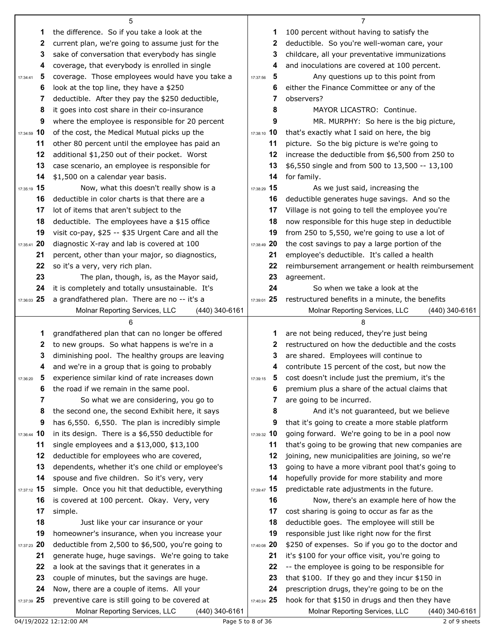|               | 5                                                                                                |                   | 7                                                                                                     |
|---------------|--------------------------------------------------------------------------------------------------|-------------------|-------------------------------------------------------------------------------------------------------|
| 1             | the difference. So if you take a look at the                                                     | 1                 | 100 percent without having to satisfy the                                                             |
| 2             | current plan, we're going to assume just for the                                                 | 2                 | deductible. So you're well-woman care, your                                                           |
| 3             | sake of conversation that everybody has single                                                   | 3                 | childcare, all your preventative immunizations                                                        |
| 4             | coverage, that everybody is enrolled in single                                                   | 4                 | and inoculations are covered at 100 percent.                                                          |
| 5<br>17:34:41 | coverage. Those employees would have you take a                                                  | 5<br>17:37:56     | Any questions up to this point from                                                                   |
| 6             | look at the top line, they have a \$250                                                          | 6                 | either the Finance Committee or any of the                                                            |
| 7             | deductible. After they pay the \$250 deductible,                                                 | 7                 | observers?                                                                                            |
| 8             | it goes into cost share in their co-insurance                                                    | 8                 | MAYOR LICASTRO: Continue.                                                                             |
| 9             | where the employee is responsible for 20 percent                                                 | 9                 | MR. MURPHY: So here is the big picture,                                                               |
| 17:34:59 10   | of the cost, the Medical Mutual picks up the                                                     | 17:38:10 10       | that's exactly what I said on here, the big                                                           |
| 11            | other 80 percent until the employee has paid an                                                  | 11                | picture. So the big picture is we're going to                                                         |
| 12            | additional \$1,250 out of their pocket. Worst                                                    | 12                | increase the deductible from \$6,500 from 250 to                                                      |
| 13            | case scenario, an employee is responsible for                                                    | 13                | \$6,550 single and from 500 to 13,500 -- 13,100                                                       |
| 14            | \$1,500 on a calendar year basis.                                                                | 14                | for family.                                                                                           |
| 17:35:19 15   | Now, what this doesn't really show is a                                                          | 17:38:29 15       | As we just said, increasing the                                                                       |
| 16            | deductible in color charts is that there are a                                                   | 16                | deductible generates huge savings. And so the                                                         |
| 17            | lot of items that aren't subject to the                                                          | 17                | Village is not going to tell the employee you're                                                      |
| 18            | deductible. The employees have a \$15 office                                                     | 18                | now responsible for this huge step in deductible                                                      |
| 19            | visit co-pay, \$25 -- \$35 Urgent Care and all the                                               | 19                | from 250 to 5,550, we're going to use a lot of                                                        |
| 17:35:41 20   | diagnostic X-ray and lab is covered at 100                                                       | 17:38:49 20       | the cost savings to pay a large portion of the                                                        |
| 21            | percent, other than your major, so diagnostics,                                                  | 21                | employee's deductible. It's called a health                                                           |
| 22            | so it's a very, very rich plan.                                                                  | 22                | reimbursement arrangement or health reimbursement                                                     |
| 23            | The plan, though, is, as the Mayor said,                                                         | 23                | agreement.                                                                                            |
| 24            | it is completely and totally unsustainable. It's                                                 | 24                | So when we take a look at the                                                                         |
| 17:36:03 25   | a grandfathered plan. There are no -- it's a<br>Molnar Reporting Services, LLC<br>(440) 340-6161 | 17:39:01 25       | restructured benefits in a minute, the benefits<br>Molnar Reporting Services, LLC<br>$(440)$ 340-6161 |
|               |                                                                                                  |                   |                                                                                                       |
| 1             | grandfathered plan that can no longer be offered                                                 | 1                 | are not being reduced, they're just being                                                             |
| 2             | to new groups. So what happens is we're in a                                                     | 2                 | restructured on how the deductible and the costs                                                      |
| 3             | diminishing pool. The healthy groups are leaving                                                 | 3                 | are shared. Employees will continue to                                                                |
| 4             | and we're in a group that is going to probably                                                   | 4                 | contribute 15 percent of the cost, but now the                                                        |
| 5             | experience similar kind of rate increases down                                                   | 17:39:15          | 5 cost doesn't include just the premium, it's the                                                     |
| 6             | the road if we remain in the same pool.                                                          | 6                 | premium plus a share of the actual claims that                                                        |
| 7             | So what we are considering, you go to                                                            | 7                 | are going to be incurred.                                                                             |
| 8             | the second one, the second Exhibit here, it says                                                 | 8                 | And it's not guaranteed, but we believe                                                               |
| 9             | has 6,550. 6,550. The plan is incredibly simple                                                  | 9                 | that it's going to create a more stable platform                                                      |
| 17:36:44 10   | in its design. There is a \$6,550 deductible for                                                 | 17:39:32 10       | going forward. We're going to be in a pool now                                                        |
| 11            | single employees and a \$13,000, \$13,100                                                        | 11                | that's going to be growing that new companies are                                                     |
| 12            | deductible for employees who are covered,                                                        | 12                | joining, new municipalities are joining, so we're                                                     |
| 13            | dependents, whether it's one child or employee's                                                 | 13                | going to have a more vibrant pool that's going to                                                     |
| 14            | spouse and five children. So it's very, very                                                     | 14                | hopefully provide for more stability and more                                                         |
| 17:37:12 15   | simple. Once you hit that deductible, everything                                                 | 17:39:47 15       | predictable rate adjustments in the future.                                                           |
| 16            | is covered at 100 percent. Okay. Very, very                                                      | 16                | Now, there's an example here of how the                                                               |
| 17            | simple.                                                                                          | 17                | cost sharing is going to occur as far as the                                                          |
| 18            | Just like your car insurance or your                                                             | 18                | deductible goes. The employee will still be                                                           |
| 19            | homeowner's insurance, when you increase your                                                    | 19                | responsible just like right now for the first                                                         |
| 17:37:23 20   | deductible from 2,500 to \$6,500, you're going to                                                | 17:40:08 20       | \$250 of expenses. So if you go to the doctor and                                                     |
| 21            | generate huge, huge savings. We're going to take                                                 | 21                | it's \$100 for your office visit, you're going to                                                     |
| 22            | a look at the savings that it generates in a                                                     | 22                | -- the employee is going to be responsible for                                                        |
| 23<br>24      | couple of minutes, but the savings are huge.                                                     | 23<br>24          | that \$100. If they go and they incur \$150 in                                                        |
| 17:37:39 25   | Now, there are a couple of items. All your<br>preventive care is still going to be covered at    | 17:40:24 25       | prescription drugs, they're going to be on the<br>hook for that \$150 in drugs and then they have     |
|               | Molnar Reporting Services, LLC<br>(440) 340-6161                                                 |                   | Molnar Reporting Services, LLC<br>(440) 340-6161                                                      |
|               | 04/19/2022 12:12:00 AM                                                                           | Page 5 to 8 of 36 | 2 of 9 sheets                                                                                         |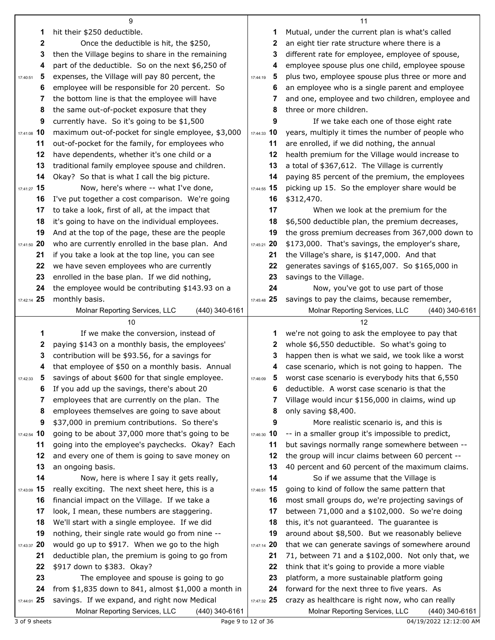| 1<br>hit their \$250 deductible.<br>Mutual, under the current plan is what's called<br>1                                                                                                                                                            |                |
|-----------------------------------------------------------------------------------------------------------------------------------------------------------------------------------------------------------------------------------------------------|----------------|
|                                                                                                                                                                                                                                                     |                |
| 2<br>Once the deductible is hit, the \$250,<br>an eight tier rate structure where there is a<br>$\mathbf{2}$                                                                                                                                        |                |
| 3<br>then the Village begins to share in the remaining<br>different rate for employee, employee of spouse,<br>3                                                                                                                                     |                |
| part of the deductible. So on the next \$6,250 of<br>4<br>employee spouse plus one child, employee spouse<br>4                                                                                                                                      |                |
| expenses, the Village will pay 80 percent, the<br>plus two, employee spouse plus three or more and<br>5<br>5<br>17:44:19<br>17:40:51                                                                                                                |                |
| employee will be responsible for 20 percent. So<br>an employee who is a single parent and employee<br>6<br>6                                                                                                                                        |                |
| the bottom line is that the employee will have<br>and one, employee and two children, employee and<br>7<br>7                                                                                                                                        |                |
| the same out-of-pocket exposure that they<br>three or more children.<br>8<br>8                                                                                                                                                                      |                |
| If we take each one of those eight rate<br>9<br>currently have. So it's going to be \$1,500<br>9                                                                                                                                                    |                |
| 17:44:33 10<br>17:41:08 10<br>maximum out-of-pocket for single employee, \$3,000<br>years, multiply it times the number of people who                                                                                                               |                |
| out-of-pocket for the family, for employees who<br>are enrolled, if we did nothing, the annual<br>11<br>11                                                                                                                                          |                |
| have dependents, whether it's one child or a<br>health premium for the Village would increase to<br>12<br>12                                                                                                                                        |                |
| 13<br>traditional family employee spouse and children.<br>a total of \$367,612. The Village is currently<br>13                                                                                                                                      |                |
| paying 85 percent of the premium, the employees<br>14<br>Okay? So that is what I call the big picture.<br>14                                                                                                                                        |                |
| Now, here's where -- what I've done,<br>picking up 15. So the employer share would be<br>17:41:27 15<br>17:44:55 15                                                                                                                                 |                |
| I've put together a cost comparison. We're going<br>16<br>16<br>\$312,470.                                                                                                                                                                          |                |
| 17<br>to take a look, first of all, at the impact that<br>17<br>When we look at the premium for the                                                                                                                                                 |                |
| 18<br>it's going to have on the individual employees.<br>18<br>\$6,500 deductible plan, the premium decreases,                                                                                                                                      |                |
| And at the top of the page, these are the people<br>the gross premium decreases from 367,000 down to<br>19<br>19                                                                                                                                    |                |
| who are currently enrolled in the base plan. And<br>17:45:21 20<br>\$173,000. That's savings, the employer's share,<br>17:41:50 20                                                                                                                  |                |
| if you take a look at the top line, you can see<br>the Village's share, is \$147,000. And that<br>21<br>21                                                                                                                                          |                |
| 22<br>we have seven employees who are currently<br>22<br>generates savings of \$165,007. So \$165,000 in                                                                                                                                            |                |
| 23<br>enrolled in the base plan. If we did nothing,<br>23<br>savings to the Village.                                                                                                                                                                |                |
| 24<br>24<br>the employee would be contributing \$143.93 on a<br>Now, you've got to use part of those                                                                                                                                                |                |
| monthly basis.<br>savings to pay the claims, because remember,<br>17:42:14 25<br>17:45:48 25                                                                                                                                                        |                |
| Molnar Reporting Services, LLC<br>(440) 340-6161<br>Molnar Reporting Services, LLC                                                                                                                                                                  | (440) 340-6161 |
| 10<br>12                                                                                                                                                                                                                                            |                |
|                                                                                                                                                                                                                                                     |                |
|                                                                                                                                                                                                                                                     |                |
| If we make the conversion, instead of<br>we're not going to ask the employee to pay that<br>1<br>1                                                                                                                                                  |                |
| paying \$143 on a monthly basis, the employees'<br>whole \$6,550 deductible. So what's going to<br>2<br>2                                                                                                                                           |                |
| contribution will be \$93.56, for a savings for<br>happen then is what we said, we took like a worst<br>3<br>3                                                                                                                                      |                |
| that employee of \$50 on a monthly basis. Annual<br>case scenario, which is not going to happen. The<br>4<br>4                                                                                                                                      |                |
| 5 savings of about \$600 for that single employee.<br>5 worst case scenario is everybody hits that 6,550<br>17:42:33<br>17:46:09                                                                                                                    |                |
| If you add up the savings, there's about 20<br>deductible. A worst case scenario is that the<br>6<br>6                                                                                                                                              |                |
| employees that are currently on the plan. The<br>Village would incur \$156,000 in claims, wind up<br>7<br>7                                                                                                                                         |                |
| employees themselves are going to save about<br>8<br>8<br>only saving \$8,400.                                                                                                                                                                      |                |
| \$37,000 in premium contributions. So there's<br>9<br>9<br>More realistic scenario is, and this is                                                                                                                                                  |                |
| going to be about 37,000 more that's going to be<br>-- in a smaller group it's impossible to predict,<br>17:42:54 10<br>17:46:30 10                                                                                                                 |                |
| going into the employee's paychecks. Okay? Each<br>but savings normally range somewhere between --<br>11<br>11                                                                                                                                      |                |
| and every one of them is going to save money on<br>the group will incur claims between 60 percent --<br>12<br>12                                                                                                                                    |                |
| 40 percent and 60 percent of the maximum claims.<br>13<br>an ongoing basis.<br>13                                                                                                                                                                   |                |
| 14<br>14<br>So if we assume that the Village is<br>Now, here is where I say it gets really,                                                                                                                                                         |                |
| really exciting. The next sheet here, this is a<br>going to kind of follow the same pattern that<br>15<br>17:46:51 15<br>17:43:09                                                                                                                   |                |
| financial impact on the Village. If we take a<br>most small groups do, we're projecting savings of<br>16<br>16                                                                                                                                      |                |
| look, I mean, these numbers are staggering.<br>between 71,000 and a \$102,000. So we're doing<br>17<br>17                                                                                                                                           |                |
| We'll start with a single employee. If we did<br>18<br>this, it's not guaranteed. The guarantee is<br>18                                                                                                                                            |                |
| nothing, their single rate would go from nine --<br>around about \$8,500. But we reasonably believe<br>19<br>19                                                                                                                                     |                |
| would go up to \$917. When we go to the high<br>that we can generate savings of somewhere around<br>17:43:37 20<br>17:47:14 20                                                                                                                      |                |
| deductible plan, the premium is going to go from<br>71, between 71 and a \$102,000. Not only that, we<br>21<br>21                                                                                                                                   |                |
| 22<br>\$917 down to \$383. Okay?<br>think that it's going to provide a more viable<br>22                                                                                                                                                            |                |
| 23<br>The employee and spouse is going to go<br>platform, a more sustainable platform going<br>23                                                                                                                                                   |                |
| from $$1,835$ down to 841, almost $$1,000$ a month in<br>forward for the next three to five years. As<br>24<br>24<br>savings. If we expand, and right now Medical<br>crazy as healthcare is right now, who can really<br>17:44:01 25<br>17:47:32 25 |                |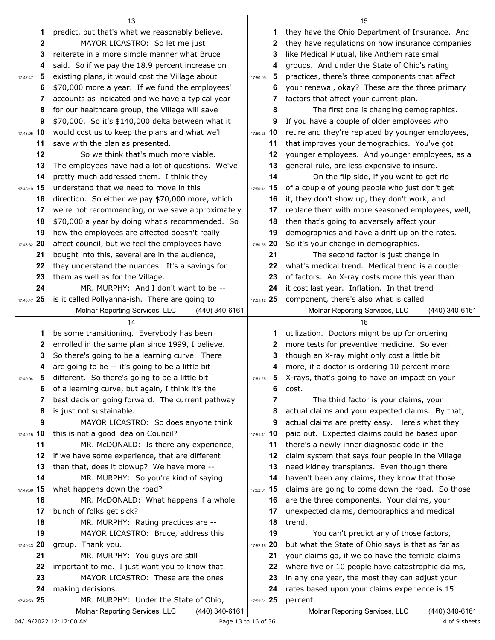|                  | 13                                                                                       |               | 15                                                        |  |
|------------------|------------------------------------------------------------------------------------------|---------------|-----------------------------------------------------------|--|
| 1                | predict, but that's what we reasonably believe.                                          | 1             | they have the Ohio Department of Insurance. And           |  |
| $\boldsymbol{2}$ | MAYOR LICASTRO: So let me just                                                           | 2             | they have regulations on how insurance companies          |  |
| 3                | reiterate in a more simple manner what Bruce                                             | 3             | like Medical Mutual, like Anthem rate small               |  |
| 4                | said. So if we pay the 18.9 percent increase on                                          | 4             | groups. And under the State of Ohio's rating              |  |
| 5<br>17:47:47    | existing plans, it would cost the Village about                                          | 5<br>17:50:09 | practices, there's three components that affect           |  |
| 6                | \$70,000 more a year. If we fund the employees'                                          | 6             | your renewal, okay? These are the three primary           |  |
| 7                | accounts as indicated and we have a typical year                                         | 7             | factors that affect your current plan.                    |  |
| 8                | for our healthcare group, the Village will save                                          | 8             | The first one is changing demographics.                   |  |
| 9                | \$70,000. So it's \$140,000 delta between what it                                        | 9             | If you have a couple of older employees who               |  |
| 17:48:05 10      | would cost us to keep the plans and what we'll                                           | 17:50:25 10   | retire and they're replaced by younger employees,         |  |
| 11               | save with the plan as presented.                                                         | 11            | that improves your demographics. You've got               |  |
| 12               | So we think that's much more viable.                                                     | 12            | younger employees. And younger employees, as a            |  |
| 13               | The employees have had a lot of questions. We've                                         | 13            | general rule, are less expensive to insure.               |  |
| 14               | pretty much addressed them. I think they                                                 | 14            | On the flip side, if you want to get rid                  |  |
| 17:48:19 15      | understand that we need to move in this                                                  | 17:50:41 15   | of a couple of young people who just don't get            |  |
| 16               | direction. So either we pay \$70,000 more, which                                         | 16            | it, they don't show up, they don't work, and              |  |
| 17               | we're not recommending, or we save approximately                                         | 17            | replace them with more seasoned employees, well,          |  |
| 18               | \$70,000 a year by doing what's recommended. So                                          | 18            | then that's going to adversely affect your                |  |
| 19               | how the employees are affected doesn't really                                            | 19            | demographics and have a drift up on the rates.            |  |
| 17:48:32 20      | affect council, but we feel the employees have                                           | 17:50:55 20   | So it's your change in demographics.                      |  |
| 21               | bought into this, several are in the audience,                                           | 21            | The second factor is just change in                       |  |
| 22               | they understand the nuances. It's a savings for                                          | 22            | what's medical trend. Medical trend is a couple           |  |
| 23               | them as well as for the Village.                                                         | 23            | of factors. An X-ray costs more this year than            |  |
| 24               | MR. MURPHY: And I don't want to be --                                                    | 24            | it cost last year. Inflation. In that trend               |  |
| 17:48:47 25      | is it called Pollyanna-ish. There are going to                                           | 17:51:12 25   | component, there's also what is called                    |  |
|                  | Molnar Reporting Services, LLC<br>$(440)$ 340-6161                                       |               | Molnar Reporting Services, LLC<br>(440) 340-6161          |  |
|                  | 14                                                                                       |               | 16                                                        |  |
| 1                | be some transitioning. Everybody has been                                                | 1             |                                                           |  |
|                  |                                                                                          |               | utilization. Doctors might be up for ordering             |  |
| 2                | enrolled in the same plan since 1999, I believe.                                         | 2             | more tests for preventive medicine. So even               |  |
| 3                | So there's going to be a learning curve. There                                           | 3             | though an X-ray might only cost a little bit              |  |
| 4                | are going to be -- it's going to be a little bit                                         | 4             | more, if a doctor is ordering 10 percent more             |  |
| 5<br>17:49:04    | different. So there's going to be a little bit                                           | 17:51:25      | 5 X-rays, that's going to have an impact on your          |  |
| 6                | of a learning curve, but again, I think it's the                                         | 6             | cost.                                                     |  |
| 7                | best decision going forward. The current pathway                                         | 7             | The third factor is your claims, your                     |  |
| 8                | is just not sustainable.                                                                 | 8             | actual claims and your expected claims. By that,          |  |
| 9                | MAYOR LICASTRO: So does anyone think                                                     | 9             | actual claims are pretty easy. Here's what they           |  |
| 17:49:15 10      | this is not a good idea on Council?                                                      | 17:51:41 10   | paid out. Expected claims could be based upon             |  |
| 11               | MR. McDONALD: Is there any experience,                                                   | 11            | there's a newly inner diagnostic code in the              |  |
| 12               | if we have some experience, that are different                                           | 12            | claim system that says four people in the Village         |  |
| 13               | than that, does it blowup? We have more --                                               | 13            | need kidney transplants. Even though there                |  |
| 14               | MR. MURPHY: So you're kind of saying                                                     | 14            | haven't been any claims, they know that those             |  |
| 17:49:30 15      | what happens down the road?                                                              | 17:52:01 15   | claims are going to come down the road. So those          |  |
| 16               | MR. McDONALD: What happens if a whole                                                    | 16            | are the three components. Your claims, your               |  |
| 17               | bunch of folks get sick?                                                                 | 17            | unexpected claims, demographics and medical               |  |
| 18               | MR. MURPHY: Rating practices are --                                                      | 18            | trend.                                                    |  |
| 19               | MAYOR LICASTRO: Bruce, address this                                                      | 19            | You can't predict any of those factors,                   |  |
| 17:49:43 20      | group. Thank you.                                                                        | 17:52:16 20   | but what the State of Ohio says is that as far as         |  |
| 21               | MR. MURPHY: You guys are still                                                           | 21            | your claims go, if we do have the terrible claims         |  |
| 22               | important to me. I just want you to know that.                                           | 22            | where five or 10 people have catastrophic claims,         |  |
| 23               | MAYOR LICASTRO: These are the ones                                                       | 23<br>24      | in any one year, the most they can adjust your            |  |
| 24               | making decisions.                                                                        | 17:52:31 25   | rates based upon your claims experience is 15<br>percent. |  |
| 17:49:53 25      | MR. MURPHY: Under the State of Ohio,<br>Molnar Reporting Services, LLC<br>(440) 340-6161 |               | Molnar Reporting Services, LLC<br>(440) 340-6161          |  |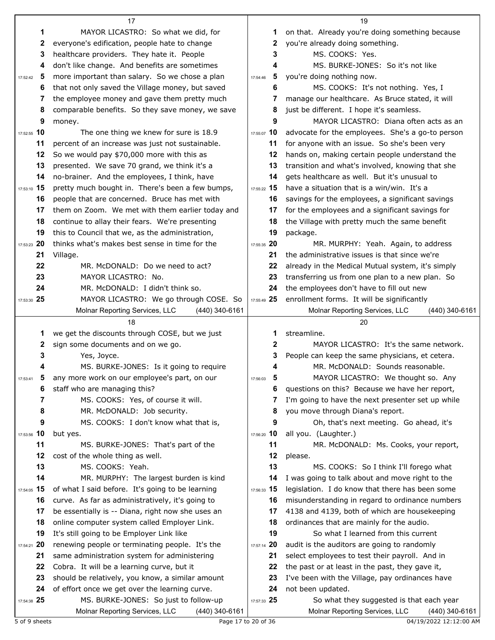|               | 17                                                |                | 19                                                 |
|---------------|---------------------------------------------------|----------------|----------------------------------------------------|
| 1             | MAYOR LICASTRO: So what we did, for               | 1              | on that. Already you're doing something because    |
| 2             | everyone's edification, people hate to change     | 2              | you're already doing something.                    |
| 3             | healthcare providers. They hate it. People        | 3              | MS. COOKS: Yes.                                    |
| 4             | don't like change. And benefits are sometimes     | 4              | MS. BURKE-JONES: So it's not like                  |
| 5<br>17:52:42 | more important than salary. So we chose a plan    | 5<br>17:54:46  | you're doing nothing now.                          |
| 6             | that not only saved the Village money, but saved  | 6              | MS. COOKS: It's not nothing. Yes, I                |
| 7             | the employee money and gave them pretty much      | 7              | manage our healthcare. As Bruce stated, it will    |
| 8             | comparable benefits. So they save money, we save  | 8              | just be different. I hope it's seamless.           |
| 9             | money.                                            | 9              | MAYOR LICASTRO: Diana often acts as an             |
| 17:52:55 10   | The one thing we knew for sure is 18.9            | 17:55:07 10    | advocate for the employees. She's a go-to person   |
| 11            | percent of an increase was just not sustainable.  | 11             | for anyone with an issue. So she's been very       |
| 12            | So we would pay \$70,000 more with this as        | 12             | hands on, making certain people understand the     |
| 13            | presented. We save 70 grand, we think it's a      | 13             | transition and what's involved, knowing that she   |
| 14            | no-brainer. And the employees, I think, have      | 14             | gets healthcare as well. But it's unusual to       |
| 17:53:10 15   | pretty much bought in. There's been a few bumps,  | 17:55:22 15    | have a situation that is a win/win. It's a         |
|               |                                                   |                |                                                    |
| 16            | people that are concerned. Bruce has met with     | 16             | savings for the employees, a significant savings   |
| 17            | them on Zoom. We met with them earlier today and  | 17             | for the employees and a significant savings for    |
| 18            | continue to allay their fears. We're presenting   | 18             | the Village with pretty much the same benefit      |
| 19            | this to Council that we, as the administration,   | 19             | package.                                           |
| 17:53:23 20   | thinks what's makes best sense in time for the    | 17:55:35 20    | MR. MURPHY: Yeah. Again, to address                |
| 21            | Village.                                          | 21             | the administrative issues is that since we're      |
| 22            | MR. McDONALD: Do we need to act?                  | 22             | already in the Medical Mutual system, it's simply  |
| 23            | MAYOR LICASTRO: No.                               | 23             | transferring us from one plan to a new plan. So    |
| 24            | MR. McDONALD: I didn't think so.                  | 24             | the employees don't have to fill out new           |
| 17:53:30 25   | MAYOR LICASTRO: We go through COSE. So            | 17:55:49 25    | enrollment forms. It will be significantly         |
|               | Molnar Reporting Services, LLC<br>(440) 340-6161  |                | Molnar Reporting Services, LLC<br>$(440)$ 340-6161 |
|               |                                                   |                |                                                    |
|               | 18                                                |                | 20                                                 |
| 1             | we get the discounts through COSE, but we just    | 1              | streamline.                                        |
| 2             | sign some documents and on we go.                 | $\mathbf{2}$   | MAYOR LICASTRO: It's the same network.             |
| 3             | Yes, Joyce.                                       | 3              | People can keep the same physicians, et cetera.    |
|               | MS. BURKE-JONES: Is it going to require           | 4              | MR. McDONALD: Sounds reasonable.                   |
|               | any more work on our employee's part, on our      | 17:56:03       | MAYOR LICASTRO: We thought so. Any                 |
| 6             | staff who are managing this?                      | 6              | questions on this? Because we have her report,     |
| 7             | MS. COOKS: Yes, of course it will.                |                | I'm going to have the next presenter set up while  |
| 8             | MR. McDONALD: Job security.                       | 8              | you move through Diana's report.                   |
| 9             | MS. COOKS: I don't know what that is,             | 9              | Oh, that's next meeting. Go ahead, it's            |
| 17:53:56 10   | but yes.                                          | 17:56:20 10    | all you. (Laughter.)                               |
| 11            | MS. BURKE-JONES: That's part of the               | 11             | MR. McDONALD: Ms. Cooks, your report,              |
| 12            | cost of the whole thing as well.                  | 12             | please.                                            |
| 13            | MS. COOKS: Yeah.                                  | 13             | MS. COOKS: So I think I'll forego what             |
| 14            | MR. MURPHY: The largest burden is kind            | 14             | I was going to talk about and move right to the    |
| 17:54:05 15   | of what I said before. It's going to be learning  | 17:56:33 15    | legislation. I do know that there has been some    |
| 16            | curve. As far as administratively, it's going to  | 16             | misunderstanding in regard to ordinance numbers    |
| 17            | be essentially is -- Diana, right now she uses an | 17             | 4138 and 4139, both of which are housekeeping      |
| 18            | online computer system called Employer Link.      | 18             | ordinances that are mainly for the audio.          |
| 19            | It's still going to be Employer Link like         | 19             | So what I learned from this current                |
| 17:54:21 20   | renewing people or terminating people. It's the   | 20<br>17:57:14 | audit is the auditors are going to randomly        |
| 21            | same administration system for administering      | 21             | select employees to test their payroll. And in     |
| 22            | Cobra. It will be a learning curve, but it        | 22             | the past or at least in the past, they gave it,    |
| 23            | should be relatively, you know, a similar amount  | 23             | I've been with the Village, pay ordinances have    |
| 24            | of effort once we get over the learning curve.    | 24             | not been updated.                                  |
| 17:54:38 25   | MS. BURKE-JONES: So just to follow-up             | 17:57:33 25    | So what they suggested is that each year           |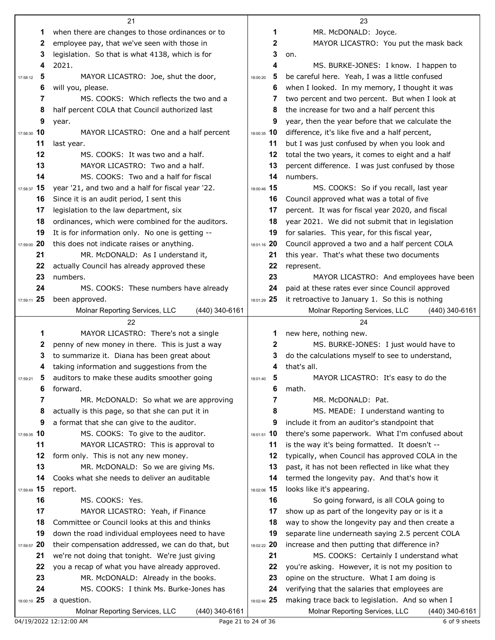|                | 21                                                              |               | 23                                                                                                  |
|----------------|-----------------------------------------------------------------|---------------|-----------------------------------------------------------------------------------------------------|
| 1              | when there are changes to those ordinances or to                | 1             | MR. McDONALD: Joyce.                                                                                |
| 2              | employee pay, that we've seen with those in                     | 2             | MAYOR LICASTRO: You put the mask back                                                               |
| 3              | legislation. So that is what 4138, which is for                 | 3             | on.                                                                                                 |
| 4              | 2021.                                                           | 4             | MS. BURKE-JONES: I know. I happen to                                                                |
| 5<br>17:58:12  | MAYOR LICASTRO: Joe, shut the door,                             | 5<br>18:00:20 | be careful here. Yeah, I was a little confused                                                      |
| 6              | will you, please.                                               | 6             | when I looked. In my memory, I thought it was                                                       |
| 7              | MS. COOKS: Which reflects the two and a                         | 7             | two percent and two percent. But when I look at                                                     |
| 8              | half percent COLA that Council authorized last                  | 8             | the increase for two and a half percent this                                                        |
| 9              | year.                                                           | 9             | year, then the year before that we calculate the                                                    |
| 17:58:30 10    | MAYOR LICASTRO: One and a half percent                          | 18:00:35 10   | difference, it's like five and a half percent,                                                      |
| 11             | last year.                                                      | 11            | but I was just confused by when you look and                                                        |
| 12             | MS. COOKS: It was two and a half.                               | 12            | total the two years, it comes to eight and a half                                                   |
| 13             | MAYOR LICASTRO: Two and a half.                                 | 13            | percent difference. I was just confused by those                                                    |
| 14             | MS. COOKS: Two and a half for fiscal                            | 14            | numbers.                                                                                            |
| 17:58:37 15    | year '21, and two and a half for fiscal year '22.               | 18:00:46 15   | MS. COOKS: So if you recall, last year                                                              |
| 16             | Since it is an audit period, I sent this                        | 16            | Council approved what was a total of five                                                           |
| 17             | legislation to the law department, six                          | 17            | percent. It was for fiscal year 2020, and fiscal                                                    |
| 18             | ordinances, which were combined for the auditors.               | 18            | year 2021. We did not submit that in legislation                                                    |
| 19             | It is for information only. No one is getting --                | 19            | for salaries. This year, for this fiscal year,                                                      |
| 17:59:00 20    | this does not indicate raises or anything.                      | 18:01:16 20   | Council approved a two and a half percent COLA                                                      |
| 21             | MR. McDONALD: As I understand it,                               | 21            | this year. That's what these two documents                                                          |
| 22             | actually Council has already approved these                     | 22            | represent.                                                                                          |
| 23             | numbers.                                                        | 23            | MAYOR LICASTRO: And employees have been                                                             |
| 24             | MS. COOKS: These numbers have already                           | 24            | paid at these rates ever since Council approved                                                     |
| 17:59:11 25    | been approved.                                                  | 18:01:29 25   | it retroactive to January 1. So this is nothing                                                     |
|                | Molnar Reporting Services, LLC<br>(440) 340-6161                |               | Molnar Reporting Services, LLC<br>(440) 340-6161                                                    |
|                |                                                                 |               |                                                                                                     |
|                | 22                                                              |               | 24                                                                                                  |
| 1              | MAYOR LICASTRO: There's not a single                            | 1             | new here, nothing new.                                                                              |
| 2              | penny of new money in there. This is just a way                 | 2             | MS. BURKE-JONES: I just would have to                                                               |
| 3              | to summarize it. Diana has been great about                     | 3             | do the calculations myself to see to understand,                                                    |
| 4              | taking information and suggestions from the                     | 4             | that's all.                                                                                         |
|                | auditors to make these audits smoother going                    | 18:01:40      | MAYOR LICASTRO: It's easy to do the                                                                 |
| 6              | forward.                                                        | 6             | math.                                                                                               |
| 7              | MR. McDONALD: So what we are approving                          | 7             | MR. McDONALD: Pat.                                                                                  |
| 8              | actually is this page, so that she can put it in                | 8             | MS. MEADE: I understand wanting to                                                                  |
| 9              | a format that she can give to the auditor.                      | 9             | include it from an auditor's standpoint that                                                        |
| 17:59:35 10    | MS. COOKS: To give to the auditor.                              | 18:01:51 10   | there's some paperwork. What I'm confused about                                                     |
| 11             | MAYOR LICASTRO: This is approval to                             | 11            | is the way it's being formatted. It doesn't --                                                      |
| 12             | form only. This is not any new money.                           | 12            | typically, when Council has approved COLA in the                                                    |
| 13             | MR. McDONALD: So we are giving Ms.                              | 13            | past, it has not been reflected in like what they                                                   |
| 14             | Cooks what she needs to deliver an auditable                    | 14            | termed the longevity pay. And that's how it                                                         |
| 17:59:49 15    | report.                                                         | 18:02:06 15   | looks like it's appearing.                                                                          |
| 16             | MS. COOKS: Yes.                                                 | 16            | So going forward, is all COLA going to                                                              |
| 17             | MAYOR LICASTRO: Yeah, if Finance                                | 17            | show up as part of the longevity pay or is it a                                                     |
| 18             | Committee or Council looks at this and thinks                   | 18            | way to show the longevity pay and then create a                                                     |
| 19             | down the road individual employees need to have                 | 19            | separate line underneath saying 2.5 percent COLA                                                    |
| 20<br>17:59:57 | their compensation addressed, we can do that, but               | 18:02:22 20   | increase and then putting that difference in?                                                       |
| 21             | we're not doing that tonight. We're just giving                 | 21            | MS. COOKS: Certainly I understand what                                                              |
| 22             | you a recap of what you have already approved.                  | 22            | you're asking. However, it is not my position to                                                    |
| 23             | MR. McDONALD: Already in the books.                             | 23            | opine on the structure. What I am doing is                                                          |
| 24             | MS. COOKS: I think Ms. Burke-Jones has                          | 24            | verifying that the salaries that employees are                                                      |
| 18:00:10 25    | a question.<br>(440) 340-6161<br>Molnar Reporting Services, LLC | 18:02:46 25   | making trace back to legislation. And so when I<br>Molnar Reporting Services, LLC<br>(440) 340-6161 |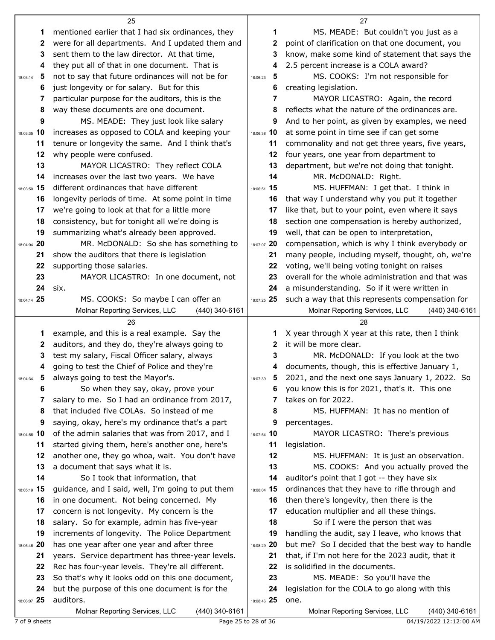|                        | 25                                                                                      |                     | 27                                                                                                |
|------------------------|-----------------------------------------------------------------------------------------|---------------------|---------------------------------------------------------------------------------------------------|
| 1                      | mentioned earlier that I had six ordinances, they                                       | 1                   | MS. MEADE: But couldn't you just as a                                                             |
| $\mathbf{2}$           | were for all departments. And I updated them and                                        | 2                   | point of clarification on that one document, you                                                  |
| 3                      | sent them to the law director. At that time,                                            | 3                   | know, make some kind of statement that says the                                                   |
| 4                      | they put all of that in one document. That is                                           | 4                   | 2.5 percent increase is a COLA award?                                                             |
| 5<br>18:03:14          | not to say that future ordinances will not be for                                       | 5<br>18:06:23       | MS. COOKS: I'm not responsible for                                                                |
| 6                      | just longevity or for salary. But for this                                              | 6                   | creating legislation.                                                                             |
| 7                      | particular purpose for the auditors, this is the                                        | 7                   | MAYOR LICASTRO: Again, the record                                                                 |
| 8                      | way these documents are one document.                                                   | 8                   | reflects what the nature of the ordinances are.                                                   |
| 9                      | MS. MEADE: They just look like salary                                                   | 9                   | And to her point, as given by examples, we need                                                   |
| 18:03:35 10            | increases as opposed to COLA and keeping your                                           | 18:06:38 10         | at some point in time see if can get some                                                         |
| 11                     | tenure or longevity the same. And I think that's                                        | 11                  | commonality and not get three years, five years,                                                  |
| 12                     | why people were confused.                                                               | 12                  | four years, one year from department to                                                           |
| 13                     | MAYOR LICASTRO: They reflect COLA                                                       | 13                  | department, but we're not doing that tonight.                                                     |
| 14                     | increases over the last two years. We have                                              | 14                  | MR. McDONALD: Right.                                                                              |
| 18:03:50 15            | different ordinances that have different                                                | 18:06:51 15         | MS. HUFFMAN: I get that. I think in                                                               |
| 16                     | longevity periods of time. At some point in time                                        | 16                  | that way I understand why you put it together                                                     |
| 17                     | we're going to look at that for a little more                                           | 17                  | like that, but to your point, even where it says                                                  |
| 18                     | consistency, but for tonight all we're doing is                                         | 18                  | section one compensation is hereby authorized,                                                    |
| 19                     | summarizing what's already been approved.                                               | 19                  | well, that can be open to interpretation,                                                         |
| 18:04:04 20            | MR. McDONALD: So she has something to                                                   | 18:07:07 20         | compensation, which is why I think everybody or                                                   |
| 21<br>22               | show the auditors that there is legislation                                             | 21<br>22            | many people, including myself, thought, oh, we're                                                 |
| 23                     | supporting those salaries.<br>MAYOR LICASTRO: In one document, not                      | 23                  | voting, we'll being voting tonight on raises<br>overall for the whole administration and that was |
| 24                     | six.                                                                                    | 24                  | a misunderstanding. So if it were written in                                                      |
| 18:04:14 25            | MS. COOKS: So maybe I can offer an                                                      | 18:07:25 25         | such a way that this represents compensation for                                                  |
|                        | Molnar Reporting Services, LLC<br>(440) 340-6161                                        |                     | Molnar Reporting Services, LLC<br>(440) 340-6161                                                  |
|                        | 26                                                                                      |                     | 28                                                                                                |
| 1                      | example, and this is a real example. Say the                                            | 1                   | X year through X year at this rate, then I think                                                  |
| 2                      | auditors, and they do, they're always going to                                          | 2                   | it will be more clear.                                                                            |
| 3                      | test my salary, Fiscal Officer salary, always                                           | 3                   | MR. McDONALD: If you look at the two                                                              |
| 4                      | going to test the Chief of Police and they're                                           | 4                   | documents, though, this is effective January 1,                                                   |
| $\sqrt{5}$<br>18:04:34 | always going to test the Mayor's.                                                       | 18:07:39            | 2021, and the next one says January 1, 2022. So                                                   |
| 6                      | So when they say, okay, prove your                                                      | 6                   | you know this is for 2021, that's it. This one                                                    |
| 7                      | salary to me. So I had an ordinance from 2017,                                          |                     | takes on for 2022.                                                                                |
| 8                      | that included five COLAs. So instead of me                                              | 8                   | MS. HUFFMAN: It has no mention of                                                                 |
| 9                      | saying, okay, here's my ordinance that's a part                                         | 9                   | percentages.                                                                                      |
| 18:04:56 10            | of the admin salaries that was from 2017, and I                                         | 18:07:54 10         | MAYOR LICASTRO: There's previous                                                                  |
| 11                     | started giving them, here's another one, here's                                         | 11                  | legislation.                                                                                      |
| 12                     | another one, they go whoa, wait. You don't have                                         | 12                  | MS. HUFFMAN: It is just an observation.                                                           |
| 13                     | a document that says what it is.                                                        | 13                  | MS. COOKS: And you actually proved the                                                            |
| 14                     | So I took that information, that                                                        | 14                  | auditor's point that I got -- they have six                                                       |
| 18:05:19 15            | guidance, and I said, well, I'm going to put them                                       | 18:08:04 15         | ordinances that they have to rifle through and                                                    |
| 16<br>17               | in one document. Not being concerned. My<br>concern is not longevity. My concern is the | 16<br>17            | then there's longevity, then there is the<br>education multiplier and all these things.           |
| 18                     | salary. So for example, admin has five-year                                             | 18                  | So if I were the person that was                                                                  |
| 19                     | increments of longevity. The Police Department                                          | 19                  | handling the audit, say I leave, who knows that                                                   |
| 18:05:46 20            | has one year after one year and after three                                             | 18:08:29 20         | but me? So I decided that the best way to handle                                                  |
| 21                     | years. Service department has three-year levels.                                        | 21                  | that, if I'm not here for the 2023 audit, that it                                                 |
| 22                     | Rec has four-year levels. They're all different.                                        | 22                  | is solidified in the documents.                                                                   |
| 23                     | So that's why it looks odd on this one document,                                        | 23                  | MS. MEADE: So you'll have the                                                                     |
| 24                     | but the purpose of this one document is for the                                         | 24                  | legislation for the COLA to go along with this                                                    |
| 18:06:07 25            | auditors.                                                                               | 18:08:46 25         | one.                                                                                              |
|                        | Molnar Reporting Services, LLC<br>(440) 340-6161                                        |                     | Molnar Reporting Services, LLC<br>(440) 340-6161                                                  |
| 7 of 9 sheets          |                                                                                         | Page 25 to 28 of 36 | 04/19/2022 12:12:00 AM                                                                            |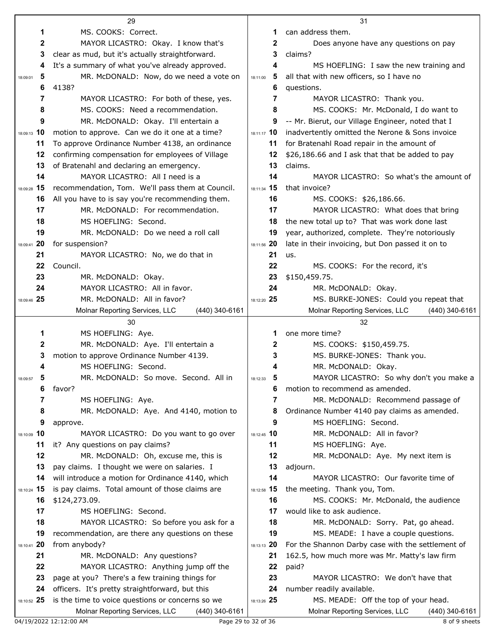|                | 29                                                                         |                                  | 31                                                                |
|----------------|----------------------------------------------------------------------------|----------------------------------|-------------------------------------------------------------------|
| 1              | MS. COOKS: Correct.                                                        | 1                                | can address them.                                                 |
| 2              | MAYOR LICASTRO: Okay. I know that's                                        | $\mathbf{2}$                     | Does anyone have any questions on pay                             |
| 3              | clear as mud, but it's actually straightforward.                           | 3                                | claims?                                                           |
| 4              | It's a summary of what you've already approved.                            | 4                                | MS HOEFLING: I saw the new training and                           |
| 5<br>18:09:01  | MR. McDONALD: Now, do we need a vote on                                    | 5<br>18:11:00                    | all that with new officers, so I have no                          |
| 6              | 4138?                                                                      | 6                                | questions.                                                        |
| 7              | MAYOR LICASTRO: For both of these, yes.                                    | 7                                | MAYOR LICASTRO: Thank you.                                        |
| 8              | MS. COOKS: Need a recommendation.                                          | 8                                | MS. COOKS: Mr. McDonald, I do want to                             |
| 9              | MR. McDONALD: Okay. I'll entertain a                                       | 9                                | -- Mr. Bierut, our Village Engineer, noted that I                 |
| 18:09:13 10    | motion to approve. Can we do it one at a time?                             | 18:11:17 10                      | inadvertently omitted the Nerone & Sons invoice                   |
| 11             | To approve Ordinance Number 4138, an ordinance                             | 11                               | for Bratenahl Road repair in the amount of                        |
| 12             | confirming compensation for employees of Village                           | 12                               | \$26,186.66 and I ask that that be added to pay                   |
| 13             | of Bratenahl and declaring an emergency.                                   | 13                               | claims.                                                           |
| 14             | MAYOR LICASTRO: All I need is a                                            | 14                               | MAYOR LICASTRO: So what's the amount of                           |
| 18:09:28 15    | recommendation, Tom. We'll pass them at Council.                           | 18:11:34 15                      | that invoice?                                                     |
| 16             | All you have to is say you're recommending them.                           | 16                               | MS. COOKS: \$26,186.66.                                           |
| 17             | MR. McDONALD: For recommendation.                                          | 17                               | MAYOR LICASTRO: What does that bring                              |
| 18             | MS HOEFLING: Second.                                                       | 18                               | the new total up to? That was work done last                      |
| 19             | MR. McDONALD: Do we need a roll call                                       | 19                               | year, authorized, complete. They're notoriously                   |
| 20<br>18:09:41 | for suspension?                                                            | 18:11:56 20                      | late in their invoicing, but Don passed it on to                  |
| 21             | MAYOR LICASTRO: No, we do that in                                          | 21                               | us.                                                               |
| 22             | Council.                                                                   | 22                               | MS. COOKS: For the record, it's                                   |
| 23             | MR. McDONALD: Okay.                                                        | 23                               | \$150,459.75.                                                     |
| 24             | MAYOR LICASTRO: All in favor.                                              | 24                               | MR. McDONALD: Okay.                                               |
| 18:09:46 25    | MR. McDONALD: All in favor?                                                | 18:12:20 25                      | MS. BURKE-JONES: Could you repeat that                            |
|                | Molnar Reporting Services, LLC<br>(440) 340-6161<br>30                     |                                  | Molnar Reporting Services, LLC<br>(440) 340-6161<br>32            |
| 1              | MS HOEFLING: Aye.                                                          |                                  | one more time?                                                    |
| 2              | MR. McDONALD: Aye. I'll entertain a                                        | 2                                | MS. COOKS: \$150,459.75.                                          |
| 3              | motion to approve Ordinance Number 4139.                                   | 3                                | MS. BURKE-JONES: Thank you.                                       |
|                | MS HOEFLING: Second.                                                       |                                  | MR. McDONALD: Okay.                                               |
| 18:09:57<br>đ  | MR. McDONALD: So move. Second. All in                                      | 18:12:33<br>$\ddot{\phantom{0}}$ | MAYOR LICASTRO: So why don't you make a                           |
| 6              | favor?                                                                     | 6                                | motion to recommend as amended.                                   |
| 7              | MS HOEFLING: Aye.                                                          | 7                                | MR. McDONALD: Recommend passage of                                |
| 8              | MR. McDONALD: Aye. And 4140, motion to                                     | 8                                | Ordinance Number 4140 pay claims as amended.                      |
| 9              | approve.                                                                   | 9                                | MS HOEFLING: Second.                                              |
| 18:10:09 10    | MAYOR LICASTRO: Do you want to go over                                     | 18:12:45 10                      | MR. McDONALD: All in favor?                                       |
| 11             | it? Any questions on pay claims?                                           | 11                               | MS HOEFLING: Aye.                                                 |
| 12             | MR. McDONALD: Oh, excuse me, this is                                       | 12                               | MR. McDONALD: Aye. My next item is                                |
| 13             | pay claims. I thought we were on salaries. I                               | 13                               | adjourn.                                                          |
| 14             | will introduce a motion for Ordinance 4140, which                          | 14                               | MAYOR LICASTRO: Our favorite time of                              |
| 18:10:24 15    | is pay claims. Total amount of those claims are                            | 18:12:58 15                      | the meeting. Thank you, Tom.                                      |
| 16             | \$124,273.09.                                                              | 16                               | MS. COOKS: Mr. McDonald, the audience                             |
| 17             | MS HOEFLING: Second.                                                       | 17                               | would like to ask audience.                                       |
| 18             | MAYOR LICASTRO: So before you ask for a                                    | 18                               | MR. McDONALD: Sorry. Pat, go ahead.                               |
| 19             | recommendation, are there any questions on these                           | 19                               | MS. MEADE: I have a couple questions.                             |
| 20<br>18:10:41 | from anybody?                                                              | 18:13:13 20                      | For the Shannon Darby case with the settlement of                 |
| 21             | MR. McDONALD: Any questions?                                               | 21                               | 162.5, how much more was Mr. Matty's law firm                     |
| 22             | MAYOR LICASTRO: Anything jump off the                                      | 22                               | paid?                                                             |
| 23             | page at you? There's a few training things for                             | 23                               | MAYOR LICASTRO: We don't have that                                |
| 24             | officers. It's pretty straightforward, but this                            | 24                               | number readily available.                                         |
| 18:10:52 25    | is the time to voice questions or concerns so we                           | 18:13:26 25                      | MS. MEADE: Off the top of your head.                              |
|                | Molnar Reporting Services, LLC<br>(440) 340-6161<br>04/19/2022 12:12:00 AM | Page 29 to 32 of 36              | Molnar Reporting Services, LLC<br>(440) 340-6161<br>8 of 9 sheets |